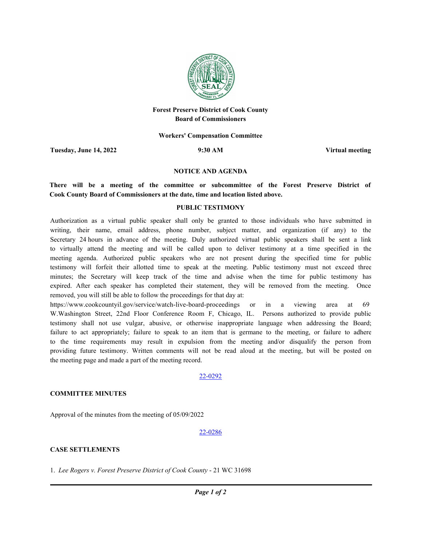

# **Forest Preserve District of Cook County Board of Commissioners**

#### **Workers' Compensation Committee**

**Tuesday, June 14, 2022 9:30 AM Virtual meeting**

#### **NOTICE AND AGENDA**

**There will be a meeting of the committee or subcommittee of the Forest Preserve District of Cook County Board of Commissioners at the date, time and location listed above.**

#### **PUBLIC TESTIMONY**

Authorization as a virtual public speaker shall only be granted to those individuals who have submitted in writing, their name, email address, phone number, subject matter, and organization (if any) to the Secretary 24 hours in advance of the meeting. Duly authorized virtual public speakers shall be sent a link to virtually attend the meeting and will be called upon to deliver testimony at a time specified in the meeting agenda. Authorized public speakers who are not present during the specified time for public testimony will forfeit their allotted time to speak at the meeting. Public testimony must not exceed three minutes; the Secretary will keep track of the time and advise when the time for public testimony has expired. After each speaker has completed their statement, they will be removed from the meeting. Once removed, you will still be able to follow the proceedings for that day at:

https://www.cookcountyil.gov/service/watch-live-board-proceedings or in a viewing area at 69 W.Washington Street, 22nd Floor Conference Room F, Chicago, IL. Persons authorized to provide public testimony shall not use vulgar, abusive, or otherwise inappropriate language when addressing the Board; failure to act appropriately; failure to speak to an item that is germane to the meeting, or failure to adhere to the time requirements may result in expulsion from the meeting and/or disqualify the person from providing future testimony. Written comments will not be read aloud at the meeting, but will be posted on the meeting page and made a part of the meeting record.

## 22-0292

## **COMMITTEE MINUTES**

Approval of the minutes from the meeting of 05/09/2022

#### 22-0286

## **CASE SETTLEMENTS**

1. Lee Rogers v. Forest Preserve District of Cook County - 21 WC 31698